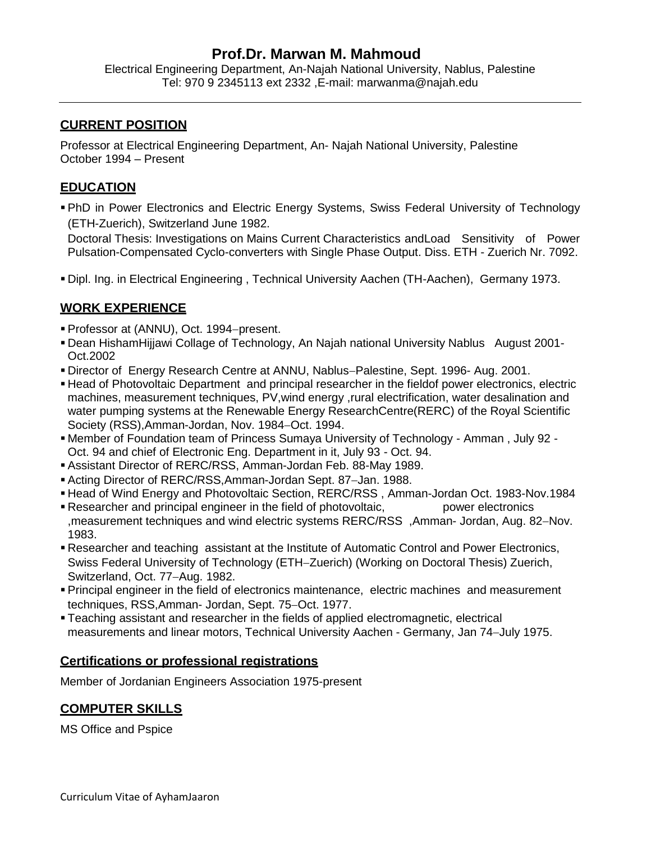# **Prof.Dr. Marwan M. Mahmoud**

Electrical Engineering Department, An-Najah National University, Nablus, Palestine Tel: 970 9 2345113 ext 2332 ,E-mail: marwanma@najah.edu

### **CURRENT POSITION**

Professor at Electrical Engineering Department, An- Najah National University, Palestine October 1994 – Present

## **EDUCATION**

 PhD in Power Electronics and Electric Energy Systems, Swiss Federal University of Technology (ETH-Zuerich), Switzerland June 1982.

Doctoral Thesis: Investigations on Mains Current Characteristics andLoad Sensitivity of Power Pulsation-Compensated Cyclo-converters with Single Phase Output. Diss. ETH - Zuerich Nr. 7092.

Dipl. Ing. in Electrical Engineering , Technical University Aachen (TH-Aachen), Germany 1973.

## **WORK EXPERIENCE**

- Professor at (ANNU), Oct. 1994-present.
- Dean HishamHijjawi Collage of Technology, An Najah national University Nablus August 2001- Oct.2002
- Director of Energy Research Centre at ANNU, Nablus-Palestine, Sept. 1996- Aug. 2001.
- Head of Photovoltaic Department and principal researcher in the fieldof power electronics, electric machines, measurement techniques, PV,wind energy ,rural electrification, water desalination and water pumping systems at the Renewable Energy ResearchCentre(RERC) of the Royal Scientific Society (RSS), Amman-Jordan, Nov. 1984–Oct. 1994.
- Member of Foundation team of Princess Sumaya University of Technology Amman , July 92 Oct. 94 and chief of Electronic Eng. Department in it, July 93 - Oct. 94.
- Assistant Director of RERC/RSS, Amman-Jordan Feb. 88-May 1989.
- Acting Director of RERC/RSS, Amman-Jordan Sept. 87-Jan. 1988.
- Head of Wind Energy and Photovoltaic Section, RERC/RSS , Amman-Jordan Oct. 1983-Nov.1984
- **Researcher and principal engineer in the field of photovoltaic, power electronics** ,measurement techniques and wind electric systems RERC/RSS, Amman- Jordan, Aug. 82–Nov. 1983.
- Researcher and teaching assistant at the Institute of Automatic Control and Power Electronics, Swiss Federal University of Technology (ETH-Zuerich) (Working on Doctoral Thesis) Zuerich, Switzerland, Oct. 77-Aug. 1982.
- Principal engineer in the field of electronics maintenance, electric machines and measurement techniques, RSS, Amman- Jordan, Sept. 75-Oct. 1977.
- Teaching assistant and researcher in the fields of applied electromagnetic, electrical measurements and linear motors, Technical University Aachen - Germany, Jan 74–July 1975.

### **Certifications or professional registrations**

Member of Jordanian Engineers Association 1975-present

# **COMPUTER SKILLS**

MS Office and Pspice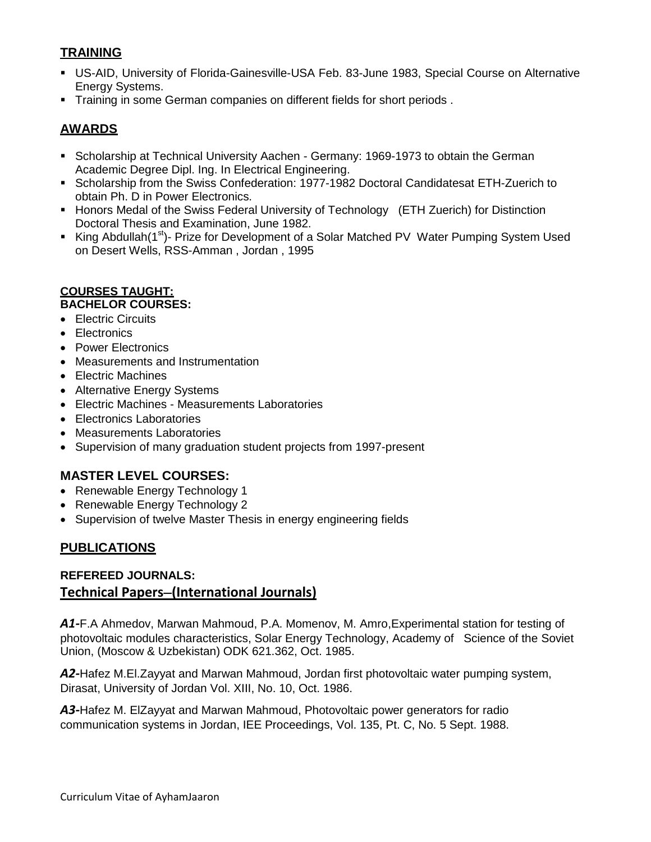# **TRAINING**

- US-AID, University of Florida-Gainesville-USA Feb. 83-June 1983, Special Course on Alternative Energy Systems.
- **Training in some German companies on different fields for short periods.**

# **AWARDS**

- **Scholarship at Technical University Aachen Germany: 1969-1973 to obtain the German** Academic Degree Dipl. Ing. In Electrical Engineering.
- Scholarship from the Swiss Confederation: 1977-1982 Doctoral Candidatesat ETH-Zuerich to obtain Ph. D in Power Electronics.
- **Honors Medal of the Swiss Federal University of Technology (ETH Zuerich) for Distinction** Doctoral Thesis and Examination, June 1982.
- King Abdullah(1<sup>st</sup>)- Prize for Development of a Solar Matched PV Water Pumping System Used on Desert Wells, RSS-Amman , Jordan , 1995

# **COURSES TAUGHT:**

## **BACHELOR COURSES:**

- Electric Circuits
- Electronics
- Power Electronics
- Measurements and Instrumentation
- Electric Machines
- Alternative Energy Systems
- Electric Machines Measurements Laboratories
- Electronics Laboratories
- Measurements Laboratories
- Supervision of many graduation student projects from 1997-present

# **MASTER LEVEL COURSES:**

- Renewable Energy Technology 1
- Renewable Energy Technology 2
- Supervision of twelve Master Thesis in energy engineering fields

# **PUBLICATIONS**

## **REFEREED JOURNALS: Technical Papers(International Journals)**

*A1-*F.A Ahmedov, Marwan Mahmoud, P.A. Momenov, M. Amro,Experimental station for testing of photovoltaic modules characteristics, Solar Energy Technology, Academy of Science of the Soviet Union, (Moscow & Uzbekistan) ODK 621.362, Oct. 1985.

*A2-*Hafez M.El.Zayyat and Marwan Mahmoud, Jordan first photovoltaic water pumping system, Dirasat, University of Jordan Vol. XIII, No. 10, Oct. 1986.

*A3-*Hafez M. ElZayyat and Marwan Mahmoud, Photovoltaic power generators for radio communication systems in Jordan, IEE Proceedings, Vol. 135, Pt. C, No. 5 Sept. 1988.